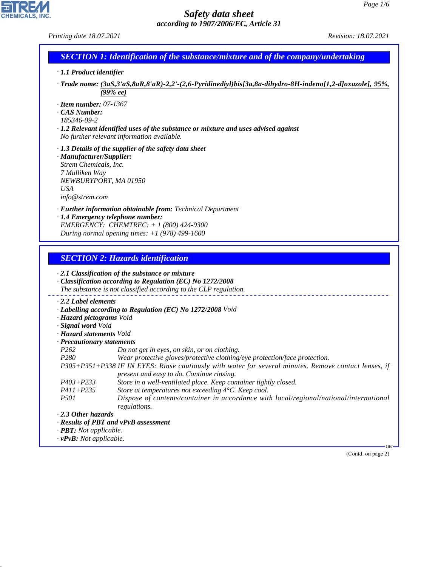CHEMICALS, INC.

44.1.1

| Printing date 18.07.2021                       |                                                                                                                                         | Revision: 18.07.2021         |
|------------------------------------------------|-----------------------------------------------------------------------------------------------------------------------------------------|------------------------------|
|                                                | <b>SECTION 1: Identification of the substance/mixture and of the company/undertaking</b>                                                |                              |
| · 1.1 Product identifier                       |                                                                                                                                         |                              |
|                                                | . Trade name: (3aS,3'aS,8aR,8'aR)-2,2'-(2,6-Pyridinediyl)bis[3a,8a-dihydro-8H-indeno[1,2-d]oxazole], 95%,<br>(99%ee)                    |                              |
| $\cdot$ Item number: 07-1367                   |                                                                                                                                         |                              |
| CAS Number:<br>185346-09-2                     |                                                                                                                                         |                              |
|                                                | $\cdot$ 1.2 Relevant identified uses of the substance or mixture and uses advised against<br>No further relevant information available. |                              |
| · Manufacturer/Supplier:                       | $\cdot$ 1.3 Details of the supplier of the safety data sheet                                                                            |                              |
| Strem Chemicals, Inc.                          |                                                                                                                                         |                              |
| 7 Mulliken Way<br>NEWBURYPORT, MA 01950        |                                                                                                                                         |                              |
| <b>USA</b>                                     |                                                                                                                                         |                              |
| info@stream.com                                |                                                                                                                                         |                              |
| · 1.4 Emergency telephone number:              | · Further information obtainable from: Technical Department                                                                             |                              |
|                                                | EMERGENCY: CHEMTREC: + 1 (800) 424-9300                                                                                                 |                              |
|                                                | During normal opening times: $+1$ (978) 499-1600                                                                                        |                              |
|                                                |                                                                                                                                         |                              |
|                                                | <b>SECTION 2: Hazards identification</b>                                                                                                |                              |
|                                                | $\cdot$ 2.1 Classification of the substance or mixture<br>Classification according to Regulation (EC) No 1272/2008                      |                              |
|                                                | The substance is not classified according to the CLP regulation.                                                                        |                              |
| $\cdot$ 2.2 Label elements                     |                                                                                                                                         |                              |
| · Hazard pictograms Void                       | · Labelling according to Regulation (EC) No 1272/2008 Void                                                                              |                              |
| · Signal word Void                             |                                                                                                                                         |                              |
| · Hazard statements Void                       |                                                                                                                                         |                              |
| · Precautionary statements<br>P <sub>262</sub> | Do not get in eyes, on skin, or on clothing.                                                                                            |                              |
| P280                                           | Wear protective gloves/protective clothing/eye protection/face protection.                                                              |                              |
|                                                | P305+P351+P338 IF IN EYES: Rinse cautiously with water for several minutes. Remove contact lenses, if                                   |                              |
| $P403 + P233$                                  | present and easy to do. Continue rinsing.<br>Store in a well-ventilated place. Keep container tightly closed.                           |                              |
| $P411 + P235$                                  | Store at temperatures not exceeding 4°C. Keep cool.                                                                                     |                              |
| <i>P501</i>                                    | Dispose of contents/container in accordance with local/regional/national/international<br>regulations.                                  |                              |
| $\cdot$ 2.3 Other hazards                      |                                                                                                                                         |                              |
| · <b>PBT</b> : Not applicable.                 | · Results of PBT and vPvB assessment                                                                                                    |                              |
| $\cdot$ vPvB: Not applicable.                  |                                                                                                                                         |                              |
|                                                |                                                                                                                                         | $GB -$<br>(Contd. on page 2) |
|                                                |                                                                                                                                         |                              |
|                                                |                                                                                                                                         |                              |
|                                                |                                                                                                                                         |                              |
|                                                |                                                                                                                                         |                              |
|                                                |                                                                                                                                         |                              |
|                                                |                                                                                                                                         |                              |
|                                                |                                                                                                                                         |                              |
|                                                |                                                                                                                                         |                              |
|                                                |                                                                                                                                         |                              |
|                                                |                                                                                                                                         |                              |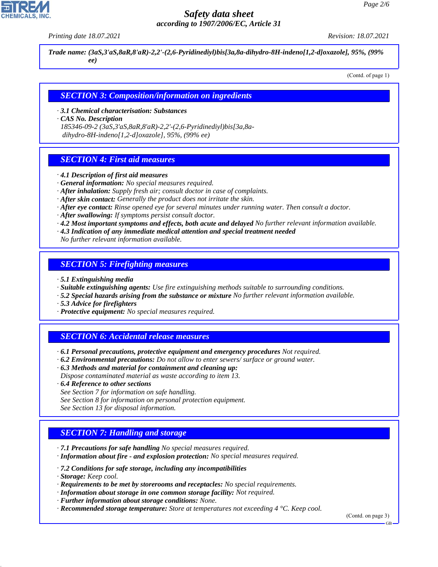*Printing date 18.07.2021 Revision: 18.07.2021*

*Trade name: (3aS,3'aS,8aR,8'aR)-2,2'-(2,6-Pyridinediyl)bis[3a,8a-dihydro-8H-indeno[1,2-d]oxazole], 95%, (99% ee)*

(Contd. of page 1)

#### *SECTION 3: Composition/information on ingredients*

*· 3.1 Chemical characterisation: Substances*

*· CAS No. Description*

*185346-09-2 (3aS,3'aS,8aR,8'aR)-2,2'-(2,6-Pyridinediyl)bis[3a,8a dihydro-8H-indeno[1,2-d]oxazole], 95%, (99% ee)*

## *SECTION 4: First aid measures*

- *· 4.1 Description of first aid measures*
- *· General information: No special measures required.*
- *· After inhalation: Supply fresh air; consult doctor in case of complaints.*
- *· After skin contact: Generally the product does not irritate the skin.*
- *· After eye contact: Rinse opened eye for several minutes under running water. Then consult a doctor.*
- *· After swallowing: If symptoms persist consult doctor.*
- *· 4.2 Most important symptoms and effects, both acute and delayed No further relevant information available.*
- *· 4.3 Indication of any immediate medical attention and special treatment needed*

*No further relevant information available.*

#### *SECTION 5: Firefighting measures*

- *· 5.1 Extinguishing media*
- *· Suitable extinguishing agents: Use fire extinguishing methods suitable to surrounding conditions.*
- *· 5.2 Special hazards arising from the substance or mixture No further relevant information available.*
- *· 5.3 Advice for firefighters*
- *· Protective equipment: No special measures required.*

# *SECTION 6: Accidental release measures*

- *· 6.1 Personal precautions, protective equipment and emergency procedures Not required.*
- *· 6.2 Environmental precautions: Do not allow to enter sewers/ surface or ground water.*
- *· 6.3 Methods and material for containment and cleaning up: Dispose contaminated material as waste according to item 13.*
- *· 6.4 Reference to other sections*
- *See Section 7 for information on safe handling.*
- *See Section 8 for information on personal protection equipment.*
- *See Section 13 for disposal information.*

# *SECTION 7: Handling and storage*

- *· 7.1 Precautions for safe handling No special measures required.*
- *· Information about fire and explosion protection: No special measures required.*
- *· 7.2 Conditions for safe storage, including any incompatibilities*
- *· Storage: Keep cool.*

44.1.1

- *· Requirements to be met by storerooms and receptacles: No special requirements.*
- *· Information about storage in one common storage facility: Not required.*
- *· Further information about storage conditions: None.*
- *· Recommended storage temperature: Store at temperatures not exceeding 4 °C. Keep cool.*

(Contd. on page 3)

GB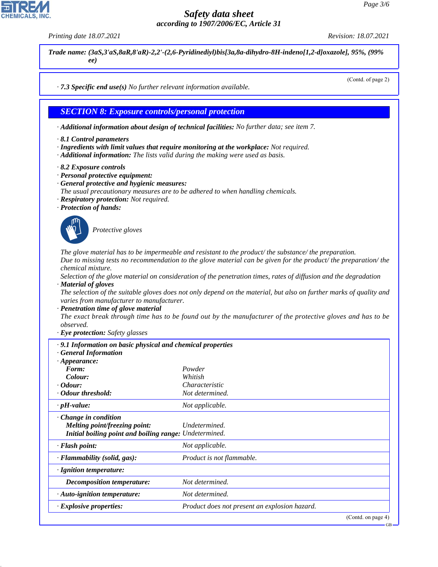*Printing date 18.07.2021 Revision: 18.07.2021*

(Contd. of page 2)

*Trade name: (3aS,3'aS,8aR,8'aR)-2,2'-(2,6-Pyridinediyl)bis[3a,8a-dihydro-8H-indeno[1,2-d]oxazole], 95%, (99% ee)*

*· 7.3 Specific end use(s) No further relevant information available.*

## *SECTION 8: Exposure controls/personal protection*

*· Additional information about design of technical facilities: No further data; see item 7.*

- *· 8.1 Control parameters*
- *· Ingredients with limit values that require monitoring at the workplace: Not required.*
- *· Additional information: The lists valid during the making were used as basis.*
- *· 8.2 Exposure controls*
- *· Personal protective equipment:*
- *· General protective and hygienic measures:*
- *The usual precautionary measures are to be adhered to when handling chemicals.*
- *· Respiratory protection: Not required.*
- *· Protection of hands:*



44.1.1

\_S*Protective gloves*

*The glove material has to be impermeable and resistant to the product/ the substance/ the preparation. Due to missing tests no recommendation to the glove material can be given for the product/ the preparation/ the chemical mixture.*

*Selection of the glove material on consideration of the penetration times, rates of diffusion and the degradation · Material of gloves*

*The selection of the suitable gloves does not only depend on the material, but also on further marks of quality and varies from manufacturer to manufacturer.*

*· Penetration time of glove material*

*The exact break through time has to be found out by the manufacturer of the protective gloves and has to be observed.*

*· Eye protection: Safety glasses*

| $\cdot$ 9.1 Information on basic physical and chemical properties<br><b>General Information</b>                        |                                               |
|------------------------------------------------------------------------------------------------------------------------|-----------------------------------------------|
| $\cdot$ Appearance:                                                                                                    |                                               |
| Form:                                                                                                                  | Powder                                        |
| Colour:                                                                                                                | Whitish                                       |
| $\cdot$ Odour:                                                                                                         | Characteristic                                |
| Odour threshold:                                                                                                       | Not determined.                               |
| $\cdot$ pH-value:                                                                                                      | Not applicable.                               |
| $\cdot$ Change in condition<br>Melting point/freezing point:<br>Initial boiling point and boiling range: Undetermined. | Undetermined.                                 |
| $\cdot$ Flash point:                                                                                                   | Not applicable.                               |
| · Flammability (solid, gas):                                                                                           | Product is not flammable.                     |
| $\cdot$ Ignition temperature:                                                                                          |                                               |
| <b>Decomposition temperature:</b>                                                                                      | Not determined.                               |
| $\cdot$ Auto-ignition temperature:                                                                                     | Not determined.                               |
| $\cdot$ Explosive properties:                                                                                          | Product does not present an explosion hazard. |
|                                                                                                                        | $(Contd \n{on} n \n{soe} 4)$                  |

(Contd. on pag

GB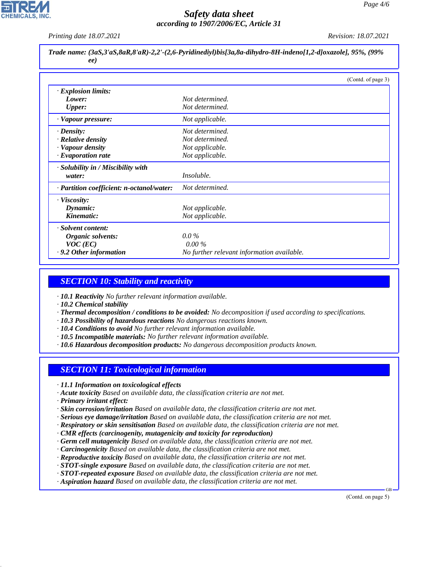*Printing date 18.07.2021 Revision: 18.07.2021*

*Trade name: (3aS,3'aS,8aR,8'aR)-2,2'-(2,6-Pyridinediyl)bis[3a,8a-dihydro-8H-indeno[1,2-d]oxazole], 95%, (99% ee)*

|                                           | (Contd. of page 3)                         |
|-------------------------------------------|--------------------------------------------|
| · Explosion limits:                       |                                            |
| Lower:                                    | Not determined.                            |
| <b>Upper:</b>                             | Not determined.                            |
| · Vapour pressure:                        | Not applicable.                            |
| $\cdot$ Density:                          | Not determined.                            |
| · Relative density                        | Not determined.                            |
| · Vapour density                          | Not applicable.                            |
| $\cdot$ Evaporation rate                  | Not applicable.                            |
| · Solubility in / Miscibility with        |                                            |
| water:                                    | <i>Insoluble.</i>                          |
| · Partition coefficient: n-octanol/water: | Not determined.                            |
| · Viscosity:                              |                                            |
| Dynamic:                                  | Not applicable.                            |
| Kinematic:                                | Not applicable.                            |
| · Solvent content:                        |                                            |
| Organic solvents:                         | $0.0\%$                                    |
| $VOC$ (EC)                                | $0.00\%$                                   |
| .9.2 Other information                    | No further relevant information available. |

## *SECTION 10: Stability and reactivity*

*· 10.1 Reactivity No further relevant information available.*

*· 10.2 Chemical stability*

- *· Thermal decomposition / conditions to be avoided: No decomposition if used according to specifications.*
- *· 10.3 Possibility of hazardous reactions No dangerous reactions known.*
- *· 10.4 Conditions to avoid No further relevant information available.*
- *· 10.5 Incompatible materials: No further relevant information available.*
- *· 10.6 Hazardous decomposition products: No dangerous decomposition products known.*

#### *SECTION 11: Toxicological information*

- *· 11.1 Information on toxicological effects*
- *· Acute toxicity Based on available data, the classification criteria are not met.*
- *· Primary irritant effect:*

44.1.1

- *· Skin corrosion/irritation Based on available data, the classification criteria are not met.*
- *· Serious eye damage/irritation Based on available data, the classification criteria are not met.*
- *· Respiratory or skin sensitisation Based on available data, the classification criteria are not met.*
- *· CMR effects (carcinogenity, mutagenicity and toxicity for reproduction)*
- *· Germ cell mutagenicity Based on available data, the classification criteria are not met.*
- *· Carcinogenicity Based on available data, the classification criteria are not met.*
- *· Reproductive toxicity Based on available data, the classification criteria are not met.*
- *· STOT-single exposure Based on available data, the classification criteria are not met.*
- *· STOT-repeated exposure Based on available data, the classification criteria are not met.*
- *· Aspiration hazard Based on available data, the classification criteria are not met.*

(Contd. on page 5)

GB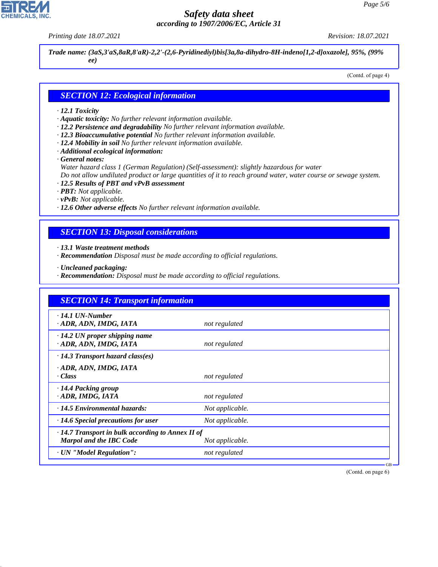# **CHEMICALS**

44.1.1

# *Safety data sheet according to 1907/2006/EC, Article 31*

*Printing date 18.07.2021 Revision: 18.07.2021*

*Trade name: (3aS,3'aS,8aR,8'aR)-2,2'-(2,6-Pyridinediyl)bis[3a,8a-dihydro-8H-indeno[1,2-d]oxazole], 95%, (99% ee)*

(Contd. of page 4)

#### *SECTION 12: Ecological information*

#### *· 12.1 Toxicity*

- *· Aquatic toxicity: No further relevant information available.*
- *· 12.2 Persistence and degradability No further relevant information available.*
- *· 12.3 Bioaccumulative potential No further relevant information available.*
- *· 12.4 Mobility in soil No further relevant information available.*
- *· Additional ecological information:*

*· General notes:*

*Water hazard class 1 (German Regulation) (Self-assessment): slightly hazardous for water*

*Do not allow undiluted product or large quantities of it to reach ground water, water course or sewage system.*

- *· 12.5 Results of PBT and vPvB assessment*
- *· PBT: Not applicable.*
- *· vPvB: Not applicable.*
- *· 12.6 Other adverse effects No further relevant information available.*

# *SECTION 13: Disposal considerations*

*· 13.1 Waste treatment methods*

- *· Recommendation Disposal must be made according to official regulations.*
- *· Uncleaned packaging:*
- *· Recommendation: Disposal must be made according to official regulations.*

| <b>SECTION 14: Transport information</b>                                                  |                 |  |  |
|-------------------------------------------------------------------------------------------|-----------------|--|--|
| $\cdot$ 14.1 UN-Number<br>· ADR, ADN, IMDG, IATA                                          | not regulated   |  |  |
| $\cdot$ 14.2 UN proper shipping name<br>· ADR, ADN, IMDG, IATA                            | not regulated   |  |  |
| $\cdot$ 14.3 Transport hazard class(es)                                                   |                 |  |  |
| · ADR, ADN, IMDG, IATA<br>· Class                                                         | not regulated   |  |  |
| · 14.4 Packing group<br>· ADR, IMDG, IATA                                                 | not regulated   |  |  |
| $\cdot$ 14.5 Environmental hazards:                                                       | Not applicable. |  |  |
| $\cdot$ 14.6 Special precautions for user                                                 | Not applicable. |  |  |
| $\cdot$ 14.7 Transport in bulk according to Annex II of<br><b>Marpol and the IBC Code</b> | Not applicable. |  |  |
| · UN "Model Regulation":                                                                  | not regulated   |  |  |

(Contd. on page 6)

GB